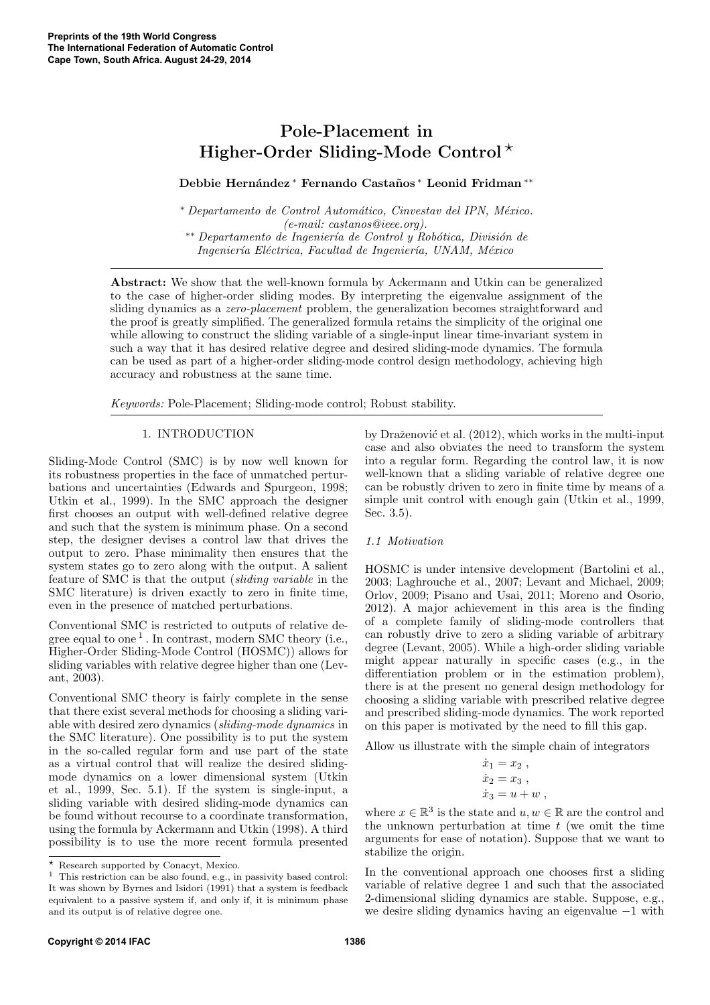# Pole-Placement in Higher-Order Sliding-Mode Control<sup>\*</sup>

# Debbie Hernández \* Fernando Castaños \* Leonid Fridman \*\*

<sup>∗</sup> *Departamento de Control Autom´atico, Cinvestav del IPN, M´exico. (e-mail: castanos@ieee.org).* ∗∗ *Departamento de Ingenier´ıa de Control y Rob´otica, Divisi´on de Ingenier´ıa El´ectrica, Facultad de Ingenier´ıa, UNAM, M´exico*

Abstract: We show that the well-known formula by Ackermann and Utkin can be generalized to the case of higher-order sliding modes. By interpreting the eigenvalue assignment of the sliding dynamics as a *zero-placement* problem, the generalization becomes straightforward and the proof is greatly simplified. The generalized formula retains the simplicity of the original one while allowing to construct the sliding variable of a single-input linear time-invariant system in such a way that it has desired relative degree and desired sliding-mode dynamics. The formula can be used as part of a higher-order sliding-mode control design methodology, achieving high accuracy and robustness at the same time.

*Keywords:* Pole-Placement; Sliding-mode control; Robust stability.

# 1. INTRODUCTION

Sliding-Mode Control (SMC) is by now well known for its robustness properties in the face of unmatched perturbations and uncertainties (Edwards and Spurgeon, 1998; Utkin et al., 1999). In the SMC approach the designer first chooses an output with well-defined relative degree and such that the system is minimum phase. On a second step, the designer devises a control law that drives the output to zero. Phase minimality then ensures that the system states go to zero along with the output. A salient feature of SMC is that the output (*sliding variable* in the SMC literature) is driven exactly to zero in finite time, even in the presence of matched perturbations.

Conventional SMC is restricted to outputs of relative degree equal to one<sup>1</sup>. In contrast, modern SMC theory (i.e., Higher-Order Sliding-Mode Control (HOSMC)) allows for sliding variables with relative degree higher than one (Levant, 2003).

Conventional SMC theory is fairly complete in the sense that there exist several methods for choosing a sliding variable with desired zero dynamics (*sliding-mode dynamics* in the SMC literature). One possibility is to put the system in the so-called regular form and use part of the state as a virtual control that will realize the desired slidingmode dynamics on a lower dimensional system (Utkin et al., 1999, Sec. 5.1). If the system is single-input, a sliding variable with desired sliding-mode dynamics can be found without recourse to a coordinate transformation, using the formula by Ackermann and Utkin (1998). A third possibility is to use the more recent formula presented by Draženović et al.  $(2012)$ , which works in the multi-input case and also obviates the need to transform the system into a regular form. Regarding the control law, it is now well-known that a sliding variable of relative degree one can be robustly driven to zero in finite time by means of a simple unit control with enough gain (Utkin et al., 1999, Sec. 3.5).

## *1.1 Motivation*

HOSMC is under intensive development (Bartolini et al., 2003; Laghrouche et al., 2007; Levant and Michael, 2009; Orlov, 2009; Pisano and Usai, 2011; Moreno and Osorio, 2012). A major achievement in this area is the finding of a complete family of sliding-mode controllers that can robustly drive to zero a sliding variable of arbitrary degree (Levant, 2005). While a high-order sliding variable might appear naturally in specific cases (e.g., in the differentiation problem or in the estimation problem), there is at the present no general design methodology for choosing a sliding variable with prescribed relative degree and prescribed sliding-mode dynamics. The work reported on this paper is motivated by the need to fill this gap.

Allow us illustrate with the simple chain of integrators

$$
\begin{array}{l} \dot{x}_1 = x_2 \ , \\ \dot{x}_2 = x_3 \ , \\ \dot{x}_3 = u + w \ , \end{array}
$$

where  $x \in \mathbb{R}^3$  is the state and  $u, w \in \mathbb{R}$  are the control and the unknown perturbation at time  $t$  (we omit the time arguments for ease of notation). Suppose that we want to stabilize the origin.

In the conventional approach one chooses first a sliding variable of relative degree 1 and such that the associated 2-dimensional sliding dynamics are stable. Suppose, e.g., we desire sliding dynamics having an eigenvalue −1 with

<sup>⋆</sup> Research supported by Conacyt, Mexico.

 $^1\,$  This restriction can be also found, e.g., in passivity based control: It was shown by Byrnes and Isidori (1991) that a system is feedback equivalent to a passive system if, and only if, it is minimum phase and its output is of relative degree one.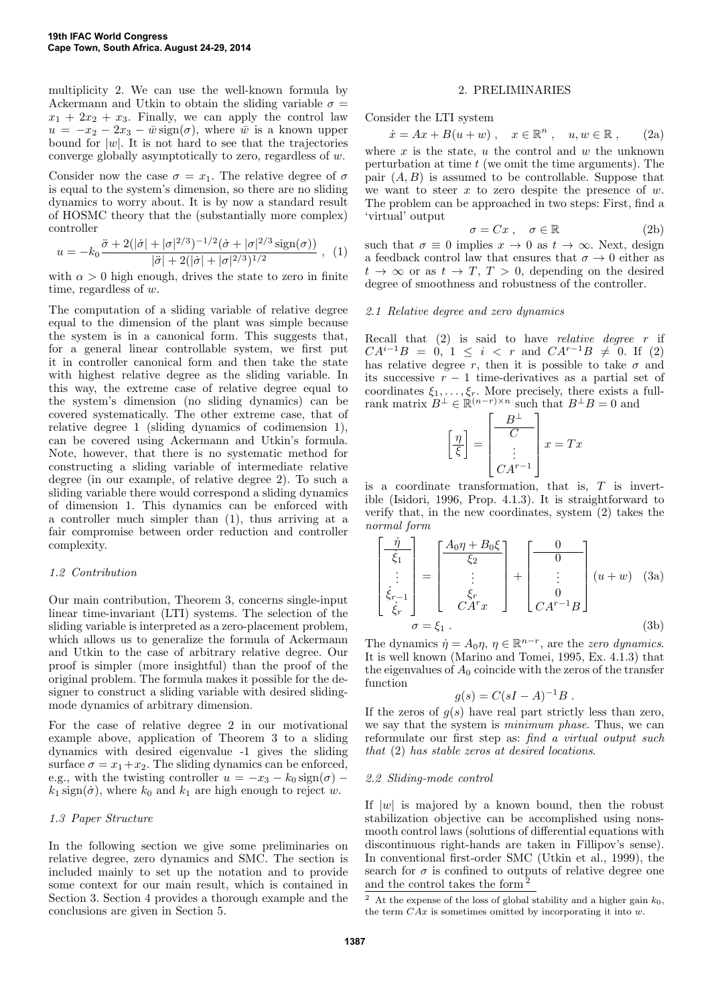multiplicity 2. We can use the well-known formula by Ackermann and Utkin to obtain the sliding variable  $\sigma =$  $x_1 + 2x_2 + x_3$ . Finally, we can apply the control law  $u = -x_2 - 2x_3 - \bar{w} \operatorname{sign}(\sigma)$ , where  $\bar{w}$  is a known upper bound for  $|w|$ . It is not hard to see that the trajectories converge globally asymptotically to zero, regardless of w.

Consider now the case  $\sigma = x_1$ . The relative degree of  $\sigma$ is equal to the system's dimension, so there are no sliding dynamics to worry about. It is by now a standard result of HOSMC theory that the (substantially more complex) controller

$$
u = -k_0 \frac{\ddot{\sigma} + 2(|\dot{\sigma}| + |\sigma|^{2/3})^{-1/2}(\dot{\sigma} + |\sigma|^{2/3} \operatorname{sign}(\sigma))}{|\ddot{\sigma}| + 2(|\dot{\sigma}| + |\sigma|^{2/3})^{1/2}} , \quad (1)
$$

with  $\alpha > 0$  high enough, drives the state to zero in finite time, regardless of w.

The computation of a sliding variable of relative degree equal to the dimension of the plant was simple because the system is in a canonical form. This suggests that, for a general linear controllable system, we first put it in controller canonical form and then take the state with highest relative degree as the sliding variable. In this way, the extreme case of relative degree equal to the system's dimension (no sliding dynamics) can be covered systematically. The other extreme case, that of relative degree 1 (sliding dynamics of codimension 1), can be covered using Ackermann and Utkin's formula. Note, however, that there is no systematic method for constructing a sliding variable of intermediate relative degree (in our example, of relative degree 2). To such a sliding variable there would correspond a sliding dynamics of dimension 1. This dynamics can be enforced with a controller much simpler than (1), thus arriving at a fair compromise between order reduction and controller complexity.

## *1.2 Contribution*

Our main contribution, Theorem 3, concerns single-input linear time-invariant (LTI) systems. The selection of the sliding variable is interpreted as a zero-placement problem, which allows us to generalize the formula of Ackermann and Utkin to the case of arbitrary relative degree. Our proof is simpler (more insightful) than the proof of the original problem. The formula makes it possible for the designer to construct a sliding variable with desired slidingmode dynamics of arbitrary dimension.

For the case of relative degree 2 in our motivational example above, application of Theorem 3 to a sliding dynamics with desired eigenvalue -1 gives the sliding surface  $\sigma = x_1 + x_2$ . The sliding dynamics can be enforced, e.g., with the twisting controller  $u = -x_3 - k_0 \operatorname{sign}(\sigma)$  –  $k_1$  sign( $\dot{\sigma}$ ), where  $k_0$  and  $k_1$  are high enough to reject w.

## *1.3 Paper Structure*

In the following section we give some preliminaries on relative degree, zero dynamics and SMC. The section is included mainly to set up the notation and to provide some context for our main result, which is contained in Section 3. Section 4 provides a thorough example and the conclusions are given in Section 5.

#### 2. PRELIMINARIES

Consider the LTI system

$$
\dot{x} = Ax + B(u+w) , \quad x \in \mathbb{R}^n , \quad u, w \in \mathbb{R} , \qquad (2a)
$$

where  $x$  is the state,  $u$  the control and  $w$  the unknown perturbation at time  $t$  (we omit the time arguments). The pair  $(A, B)$  is assumed to be controllable. Suppose that we want to steer x to zero despite the presence of  $w$ . The problem can be approached in two steps: First, find a 'virtual' output

$$
\sigma = Cx \;, \quad \sigma \in \mathbb{R} \tag{2b}
$$

such that  $\sigma \equiv 0$  implies  $x \to 0$  as  $t \to \infty$ . Next, design a feedback control law that ensures that  $\sigma \to 0$  either as  $t \to \infty$  or as  $t \to T$ ,  $T > 0$ , depending on the desired degree of smoothness and robustness of the controller.

## *2.1 Relative degree and zero dynamics*

Recall that (2) is said to have *relative degree* r if  $CA^{i-1}B = 0, 1 \leq i \leq r$  and  $CA^{r-1}B \neq 0$ . If (2) has relative degree r, then it is possible to take  $\sigma$  and its successive  $r - 1$  time-derivatives as a partial set of coordinates  $\xi_1, \ldots, \xi_r$ . More precisely, there exists a fullrank matrix  $B^{\perp} \in \mathbb{R}^{(n-r)\times n}$  such that  $B^{\perp}B = 0$  and

$$
\left[\frac{\eta}{\xi}\right] = \left[\begin{array}{c} B^{\perp} \\ C \\ \vdots \\ CA^{r-1} \end{array}\right] x = Tx
$$

is a coordinate transformation, that is,  $T$  is invertible (Isidori, 1996, Prop. 4.1.3). It is straightforward to verify that, in the new coordinates, system (2) takes the *normal form*

$$
\begin{bmatrix} \frac{\dot{\eta}}{\dot{\xi}_1} \\ \vdots \\ \dot{\xi}_{r-1} \\ \dot{\xi}_r \end{bmatrix} = \begin{bmatrix} \frac{A_0 \eta + B_0 \xi}{\xi_2} \\ \vdots \\ \frac{\xi_r}{C A^r x} \end{bmatrix} + \begin{bmatrix} 0 \\ 0 \\ \vdots \\ C A^{r-1} B \end{bmatrix} (u+w) \quad (3a)
$$

$$
\sigma = \xi_1 .
$$
 (3b)

The dynamics  $\dot{\eta} = A_0 \eta$ ,  $\eta \in \mathbb{R}^{n-r}$ , are the *zero dynamics*. It is well known (Marino and Tomei, 1995, Ex. 4.1.3) that the eigenvalues of  $A_0$  coincide with the zeros of the transfer function

$$
g(s) = C(sI - A)^{-1}B.
$$

If the zeros of  $g(s)$  have real part strictly less than zero, we say that the system is *minimum phase*. Thus, we can reformulate our first step as: *find a virtual output such that* (2) *has stable zeros at desired locations*.

#### *2.2 Sliding-mode control*

If  $|w|$  is majored by a known bound, then the robust stabilization objective can be accomplished using nonsmooth control laws (solutions of differential equations with discontinuous right-hands are taken in Fillipov's sense). In conventional first-order SMC (Utkin et al., 1999), the search for  $\sigma$  is confined to outputs of relative degree one and the control takes the form <sup>2</sup>

<sup>&</sup>lt;sup>2</sup> At the expense of the loss of global stability and a higher gain  $k_0$ , the term  $C Ax$  is sometimes omitted by incorporating it into  $w$ .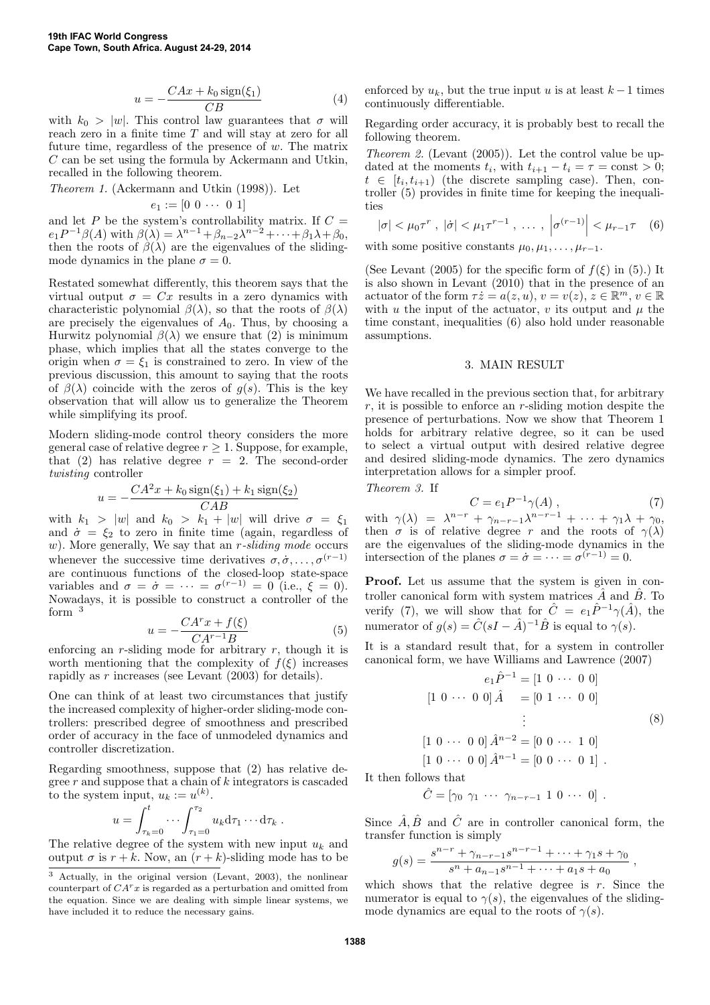$$
u = -\frac{CAx + k_0 \operatorname{sign}(\xi_1)}{CB} \tag{4}
$$

with  $k_0 > |w|$ . This control law guarantees that  $\sigma$  will reach zero in a finite time T and will stay at zero for all future time, regardless of the presence of  $w$ . The matrix C can be set using the formula by Ackermann and Utkin, recalled in the following theorem.

*Theorem 1.* (Ackermann and Utkin (1998)). Let

$$
e_1 := [0 \ 0 \ \cdots \ 0 \ 1]
$$

and let P be the system's controllability matrix. If  $C =$  $e_1 P^{-1} \beta(A)$  with  $\beta(\lambda) = \lambda^{n-1} + \beta_{n-2} \lambda^{n-2} + \cdots + \beta_1 \lambda + \beta_0$ , then the roots of  $\beta(\lambda)$  are the eigenvalues of the slidingmode dynamics in the plane  $\sigma = 0$ .

Restated somewhat differently, this theorem says that the virtual output  $\sigma = Cx$  results in a zero dynamics with characteristic polynomial  $\beta(\lambda)$ , so that the roots of  $\beta(\lambda)$ are precisely the eigenvalues of  $A_0$ . Thus, by choosing a Hurwitz polynomial  $\beta(\lambda)$  we ensure that (2) is minimum phase, which implies that all the states converge to the origin when  $\sigma = \xi_1$  is constrained to zero. In view of the previous discussion, this amount to saying that the roots of  $\beta(\lambda)$  coincide with the zeros of  $q(s)$ . This is the key observation that will allow us to generalize the Theorem while simplifying its proof.

Modern sliding-mode control theory considers the more general case of relative degree  $r \geq 1$ . Suppose, for example, that (2) has relative degree  $r = 2$ . The second-order *twisting* controller

$$
u = -\frac{CA^2x + k_0 \text{sign}(\xi_1) + k_1 \text{sign}(\xi_2)}{CAB}
$$

with  $k_1 > |w|$  and  $k_0 > k_1 + |w|$  will drive  $\sigma = \xi_1$ and  $\dot{\sigma} = \xi_2$  to zero in finite time (again, regardless of w). More generally, We say that an *r*-sliding mode occurs whenever the successive time derivatives  $\sigma, \dot{\sigma}, \dots, \sigma^{(r-1)}$ are continuous functions of the closed-loop state-space variables and  $\sigma = \dot{\sigma} = \cdots = \sigma^{(r-1)} = 0$  (i.e.,  $\xi = 0$ ). Nowadays, it is possible to construct a controller of the form  $3$ 

$$
u = -\frac{CA^r x + f(\xi)}{CA^{r-1}B} \tag{5}
$$

enforcing an r-sliding mode for arbitrary  $r$ , though it is worth mentioning that the complexity of  $f(\xi)$  increases rapidly as r increases (see Levant (2003) for details).

One can think of at least two circumstances that justify the increased complexity of higher-order sliding-mode controllers: prescribed degree of smoothness and prescribed order of accuracy in the face of unmodeled dynamics and controller discretization.

Regarding smoothness, suppose that (2) has relative degree  $r$  and suppose that a chain of  $k$  integrators is cascaded to the system input,  $u_k := u^{(k)}$ .

$$
u = \int_{\tau_k=0}^t \cdots \int_{\tau_1=0}^{\tau_2} u_k \mathrm{d}\tau_1 \cdots \mathrm{d}\tau_k.
$$

The relative degree of the system with new input  $u_k$  and output  $\sigma$  is  $r + k$ . Now, an  $(r + k)$ -sliding mode has to be enforced by  $u_k$ , but the true input u is at least  $k-1$  times continuously differentiable.

Regarding order accuracy, it is probably best to recall the following theorem.

*Theorem 2.* (Levant (2005)). Let the control value be updated at the moments  $t_i$ , with  $t_{i+1} - t_i = \tau = \text{const} > 0$ ;  $t \in [t_i, t_{i+1})$  (the discrete sampling case). Then, controller (5) provides in finite time for keeping the inequalities

$$
|\sigma| < \mu_0 \tau^r
$$
,  $|\dot{\sigma}| < \mu_1 \tau^{r-1}$ , ...,  $|\sigma^{(r-1)}| < \mu_{r-1} \tau$  (6)

with some positive constants  $\mu_0, \mu_1, \ldots, \mu_{r-1}$ .

(See Levant (2005) for the specific form of  $f(\xi)$  in (5).) It is also shown in Levant (2010) that in the presence of an actuator of the form  $\tau \dot{z} = a(z, u), v = v(z), \dot{z} \in \mathbb{R}^m, v \in \mathbb{R}$ with u the input of the actuator, v its output and  $\mu$  the time constant, inequalities (6) also hold under reasonable assumptions.

#### 3. MAIN RESULT

We have recalled in the previous section that, for arbitrary  $r$ , it is possible to enforce an  $r$ -sliding motion despite the presence of perturbations. Now we show that Theorem 1 holds for arbitrary relative degree, so it can be used to select a virtual output with desired relative degree and desired sliding-mode dynamics. The zero dynamics interpretation allows for a simpler proof.

*Theorem 3.* If

$$
C = e_1 P^{-1} \gamma(A) , \qquad (7)
$$

with  $\gamma(\lambda) = \lambda^{n-r} + \gamma_{n-r-1} \lambda^{n-r-1} + \cdots + \gamma_1 \lambda + \gamma_0$ , then  $\sigma$  is of relative degree r and the roots of  $\gamma(\lambda)$ are the eigenvalues of the sliding-mode dynamics in the intersection of the planes  $\sigma = \dot{\sigma} = \cdots = \sigma^{(\dot{r}-1)} = 0$ .

Proof. Let us assume that the system is given in controller canonical form with system matrices  $\hat{A}$  and  $\hat{B}$ . To verify (7), we will show that for  $\hat{C} = e_1 \hat{P}^{-1} \gamma(\hat{A})$ , the numerator of  $g(s) = \hat{C}(sI - \hat{A})^{-1}\hat{B}$  is equal to  $\gamma(s)$ .

It is a standard result that, for a system in controller canonical form, we have Williams and Lawrence (2007)

$$
e_1 \hat{P}^{-1} = [1 \ 0 \ \cdots \ 0 \ 0]
$$

$$
[1 \ 0 \ \cdots \ 0 \ 0] \hat{A} = [0 \ 1 \ \cdots \ 0 \ 0]
$$

$$
\vdots
$$

$$
[1 \ 0 \ \cdots \ 0 \ 0] \hat{A}^{n-2} = [0 \ 0 \ \cdots \ 1 \ 0]
$$

$$
[1 \ 0 \ \cdots \ 0 \ 0] \hat{A}^{n-1} = [0 \ 0 \ \cdots \ 0 \ 1].
$$

$$
(8)
$$

,

It then follows that

$$
\hat{C} = [\gamma_0 \ \gamma_1 \ \cdots \ \gamma_{n-r-1} \ 1 \ 0 \ \cdots \ 0].
$$

Since  $\hat{A}, \hat{B}$  and  $\hat{C}$  are in controller canonical form, the transfer function is simply

$$
g(s) = \frac{s^{n-r} + \gamma_{n-r-1} s^{n-r-1} + \dots + \gamma_1 s + \gamma_0}{s^n + a_{n-1} s^{n-1} + \dots + a_1 s + a_0}
$$

which shows that the relative degree is  $r$ . Since the numerator is equal to  $\gamma(s)$ , the eigenvalues of the slidingmode dynamics are equal to the roots of  $\gamma(s)$ .

<sup>3</sup> Actually, in the original version (Levant, 2003), the nonlinear counterpart of  $CA^{r}x$  is regarded as a perturbation and omitted from the equation. Since we are dealing with simple linear systems, we have included it to reduce the necessary gains.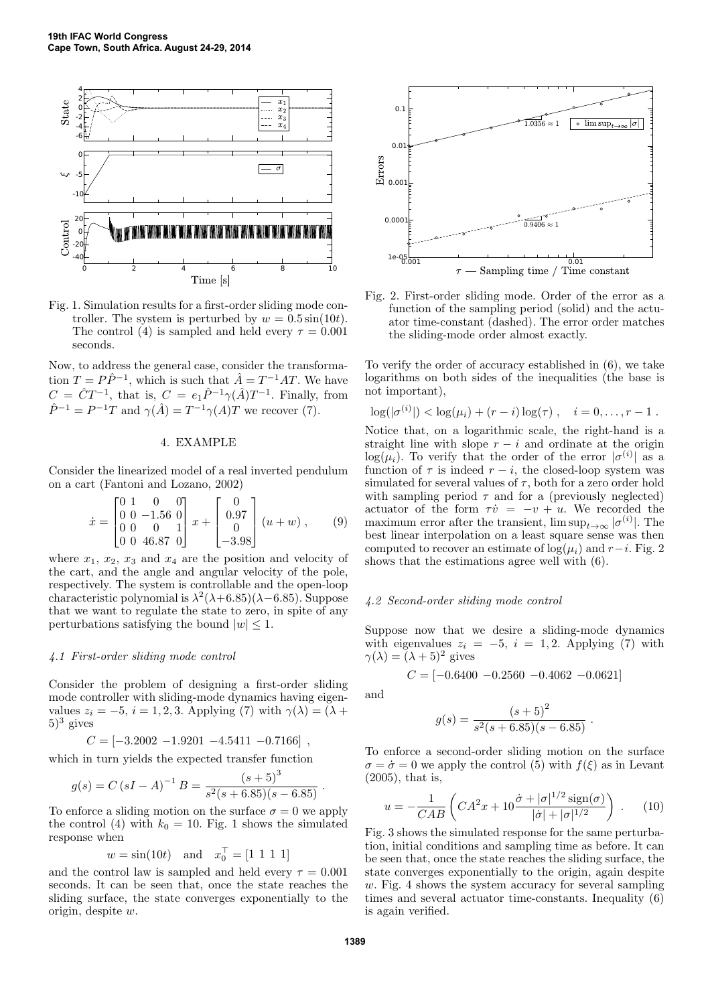

Fig. 1. Simulation results for a first-order sliding mode controller. The system is perturbed by  $w = 0.5 \sin(10t)$ . The control (4) is sampled and held every  $\tau = 0.001$ seconds.

Now, to address the general case, consider the transformation  $T = P\hat{P}^{-1}$ , which is such that  $\hat{A} = T^{-1}AT$ . We have  $C = \hat{C}T^{-1}$ , that is,  $C = e_1 \hat{P}^{-1} \gamma(\hat{A})T^{-1}$ . Finally, from  $\hat{P}^{-1} = P^{-1}T$  and  $\gamma(\hat{A}) = T^{-1}\gamma(A)T$  we recover (7).

# 4. EXAMPLE

Consider the linearized model of a real inverted pendulum on a cart (Fantoni and Lozano, 2002)

$$
\dot{x} = \begin{bmatrix} 0 & 1 & 0 & 0 \\ 0 & 0 & -1.56 & 0 \\ 0 & 0 & 0 & 1 \\ 0 & 0 & 46.87 & 0 \end{bmatrix} x + \begin{bmatrix} 0 \\ 0.97 \\ 0 \\ -3.98 \end{bmatrix} (u+w) , \qquad (9)
$$

where  $x_1, x_2, x_3$  and  $x_4$  are the position and velocity of the cart, and the angle and angular velocity of the pole, respectively. The system is controllable and the open-loop characteristic polynomial is  $\lambda^2(\lambda+6.85)(\lambda-6.85)$ . Suppose that we want to regulate the state to zero, in spite of any perturbations satisfying the bound  $|w| \leq 1$ .

#### *4.1 First-order sliding mode control*

Consider the problem of designing a first-order sliding mode controller with sliding-mode dynamics having eigenvalues  $z_i = -5$ ,  $i = 1, 2, 3$ . Applying (7) with  $\gamma(\lambda) = (\lambda +$  $(5)^3$  gives

$$
C = [-3.2002 - 1.9201 - 4.5411 - 0.7166],
$$

which in turn yields the expected transfer function

$$
g(s) = C (sI - A)^{-1} B = \frac{(s+5)^3}{s^2(s+6.85)(s-6.85)}.
$$

To enforce a sliding motion on the surface  $\sigma = 0$  we apply the control (4) with  $k_0 = 10$ . Fig. 1 shows the simulated response when

$$
w = \sin(10t)
$$
 and  $x_0^{\top} = [1 \ 1 \ 1 \ 1]$ 

and the control law is sampled and held every  $\tau = 0.001$ seconds. It can be seen that, once the state reaches the sliding surface, the state converges exponentially to the origin, despite w.



Fig. 2. First-order sliding mode. Order of the error as a function of the sampling period (solid) and the actuator time-constant (dashed). The error order matches the sliding-mode order almost exactly.

To verify the order of accuracy established in (6), we take logarithms on both sides of the inequalities (the base is not important),

$$
\log(|\sigma^{(i)}|) < \log(\mu_i) + (r - i)\log(\tau), \quad i = 0, \ldots, r - 1.
$$

Notice that, on a logarithmic scale, the right-hand is a straight line with slope  $r - i$  and ordinate at the origin  $log(\mu_i)$ . To verify that the order of the error  $|\sigma^{(i)}|$  as a function of  $\tau$  is indeed  $r - i$ , the closed-loop system was simulated for several values of  $\tau$ , both for a zero order hold with sampling period  $\tau$  and for a (previously neglected) actuator of the form  $\tau \dot{v} = -v + u$ . We recorded the maximum error after the transient,  $\limsup_{t\to\infty} |\sigma^{(i)}|$ . The best linear interpolation on a least square sense was then computed to recover an estimate of  $log(\mu_i)$  and  $r-i$ . Fig. 2 shows that the estimations agree well with (6).

#### *4.2 Second-order sliding mode control*

Suppose now that we desire a sliding-mode dynamics with eigenvalues  $z_i = -5$ ,  $i = 1, 2$ . Applying (7) with  $\gamma(\lambda) = (\lambda + 5)^2$  gives

$$
C = [-0.6400 - 0.2560 - 0.4062 - 0.0621]
$$

and

$$
g(s) = \frac{(s+5)^2}{s^2(s+6.85)(s-6.85)}.
$$

To enforce a second-order sliding motion on the surface  $\sigma = \dot{\sigma} = 0$  we apply the control (5) with  $f(\xi)$  as in Levant (2005), that is,

$$
u = -\frac{1}{CAB} \left( C A^2 x + 10 \frac{\dot{\sigma} + |\sigma|^{1/2} \operatorname{sign}(\sigma)}{|\dot{\sigma}| + |\sigma|^{1/2}} \right) . \tag{10}
$$

Fig. 3 shows the simulated response for the same perturbation, initial conditions and sampling time as before. It can be seen that, once the state reaches the sliding surface, the state converges exponentially to the origin, again despite  $w$ . Fig. 4 shows the system accuracy for several sampling times and several actuator time-constants. Inequality (6) is again verified.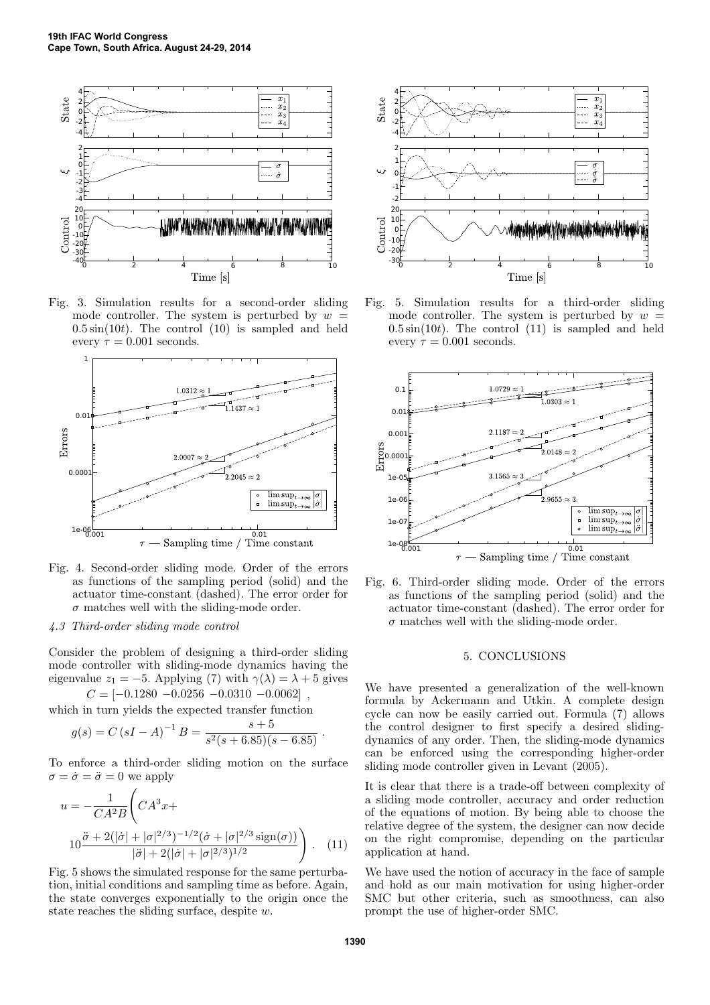

Fig. 3. Simulation results for a second-order sliding mode controller. The system is perturbed by  $w =$  $0.5\sin(10t)$ . The control  $(10)$  is sampled and held every  $\tau = 0.001$  seconds.



- Fig. 4. Second-order sliding mode. Order of the errors as functions of the sampling period (solid) and the actuator time-constant (dashed). The error order for  $\sigma$  matches well with the sliding-mode order.
- *4.3 Third-order sliding mode control*

Consider the problem of designing a third-order sliding mode controller with sliding-mode dynamics having the eigenvalue  $z_1 = -5$ . Applying (7) with  $\gamma(\lambda) = \lambda + 5$  gives

 $C = [-0.1280 - 0.0256 - 0.0310 - 0.0062]$ 

which in turn yields the expected transfer function

$$
g(s) = C (sI - A)^{-1} B = \frac{s + 5}{s^2(s + 6.85)(s - 6.85)}.
$$

To enforce a third-order sliding motion on the surface  $\sigma = \dot{\sigma} = \ddot{\sigma} = 0$  we apply

$$
u = -\frac{1}{CA^2B} \left( CA^3 x + 10 \frac{\ddot{\sigma} + 2(|\dot{\sigma}| + |\sigma|^{2/3})^{-1/2} (\dot{\sigma} + |\sigma|^{2/3} \operatorname{sign}(\sigma))}{|\ddot{\sigma}| + 2(|\dot{\sigma}| + |\sigma|^{2/3})^{1/2}} \right). \quad (11)
$$

Fig. 5 shows the simulated response for the same perturbation, initial conditions and sampling time as before. Again, the state converges exponentially to the origin once the state reaches the sliding surface, despite w.



Fig. 5. Simulation results for a third-order sliding mode controller. The system is perturbed by  $w =$  $0.5\sin(10t)$ . The control  $(11)$  is sampled and held every  $\tau = 0.001$  seconds.



Fig. 6. Third-order sliding mode. Order of the errors as functions of the sampling period (solid) and the actuator time-constant (dashed). The error order for  $\sigma$  matches well with the sliding-mode order.

## 5. CONCLUSIONS

We have presented a generalization of the well-known formula by Ackermann and Utkin. A complete design cycle can now be easily carried out. Formula (7) allows the control designer to first specify a desired slidingdynamics of any order. Then, the sliding-mode dynamics can be enforced using the corresponding higher-order sliding mode controller given in Levant (2005).

It is clear that there is a trade-off between complexity of a sliding mode controller, accuracy and order reduction of the equations of motion. By being able to choose the relative degree of the system, the designer can now decide on the right compromise, depending on the particular application at hand.

We have used the notion of accuracy in the face of sample and hold as our main motivation for using higher-order SMC but other criteria, such as smoothness, can also prompt the use of higher-order SMC.